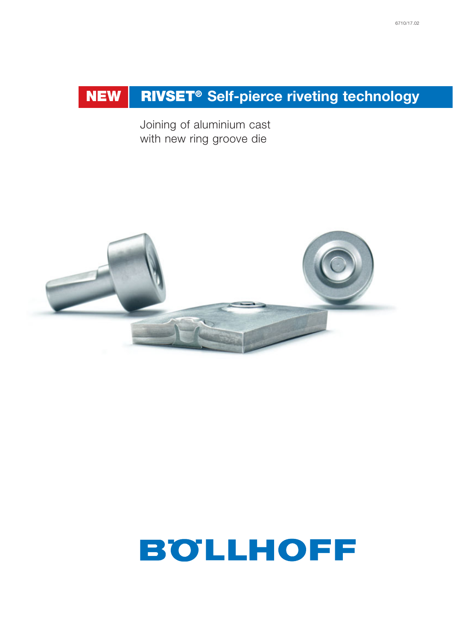# **NEW RIVSET<sup>®</sup> Self-pierce riveting technology**

Joining of aluminium cast with new ring groove die